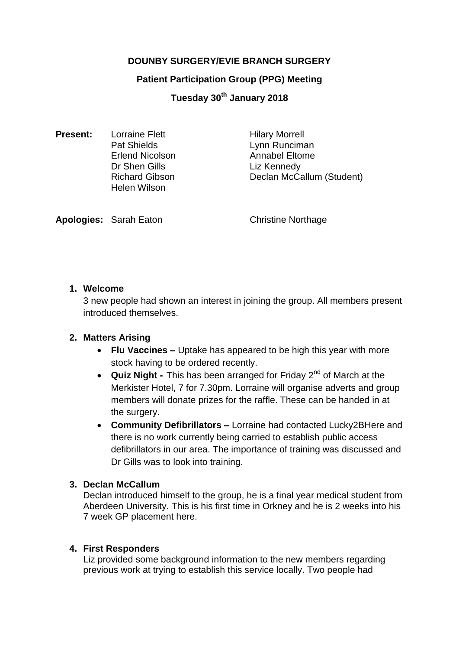# **DOUNBY SURGERY/EVIE BRANCH SURGERY**

## **Patient Participation Group (PPG) Meeting**

**Tuesday 30th January 2018**

| <b>Present:</b> | <b>Lorraine Flett</b>  | <b>Hilary Morrell</b>     |
|-----------------|------------------------|---------------------------|
|                 | <b>Pat Shields</b>     | Lynn Runciman             |
|                 | <b>Erlend Nicolson</b> | <b>Annabel Eltome</b>     |
|                 | Dr Shen Gills          | Liz Kennedy               |
|                 | <b>Richard Gibson</b>  | Declan McCallum (Student) |
|                 | <b>Helen Wilson</b>    |                           |

**Apologies:** Sarah Eaton **Christine Northage** 

## **1. Welcome**

3 new people had shown an interest in joining the group. All members present introduced themselves.

# **2. Matters Arising**

- **Flu Vaccines –** Uptake has appeared to be high this year with more stock having to be ordered recently.
- **Quiz Night -** This has been arranged for Friday 2<sup>nd</sup> of March at the Merkister Hotel, 7 for 7.30pm. Lorraine will organise adverts and group members will donate prizes for the raffle. These can be handed in at the surgery.
- **Community Defibrillators –** Lorraine had contacted Lucky2BHere and there is no work currently being carried to establish public access defibrillators in our area. The importance of training was discussed and Dr Gills was to look into training.

# **3. Declan McCallum**

Declan introduced himself to the group, he is a final year medical student from Aberdeen University. This is his first time in Orkney and he is 2 weeks into his 7 week GP placement here.

# **4. First Responders**

Liz provided some background information to the new members regarding previous work at trying to establish this service locally. Two people had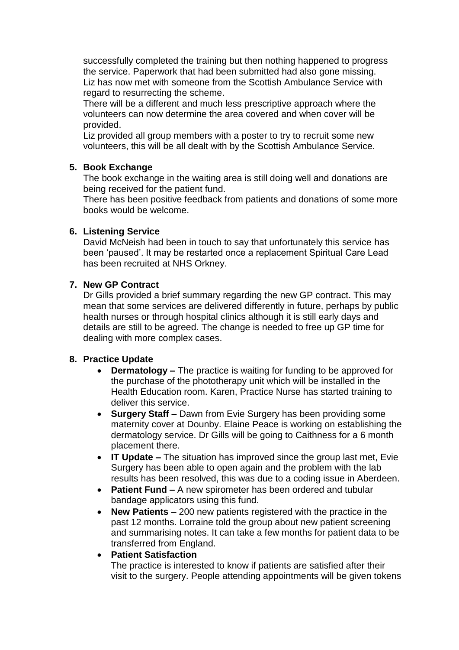successfully completed the training but then nothing happened to progress the service. Paperwork that had been submitted had also gone missing. Liz has now met with someone from the Scottish Ambulance Service with regard to resurrecting the scheme.

There will be a different and much less prescriptive approach where the volunteers can now determine the area covered and when cover will be provided.

Liz provided all group members with a poster to try to recruit some new volunteers, this will be all dealt with by the Scottish Ambulance Service.

## **5. Book Exchange**

The book exchange in the waiting area is still doing well and donations are being received for the patient fund.

There has been positive feedback from patients and donations of some more books would be welcome.

#### **6. Listening Service**

David McNeish had been in touch to say that unfortunately this service has been 'paused'. It may be restarted once a replacement Spiritual Care Lead has been recruited at NHS Orkney.

## **7. New GP Contract**

Dr Gills provided a brief summary regarding the new GP contract. This may mean that some services are delivered differently in future, perhaps by public health nurses or through hospital clinics although it is still early days and details are still to be agreed. The change is needed to free up GP time for dealing with more complex cases.

#### **8. Practice Update**

- **Dermatology –** The practice is waiting for funding to be approved for the purchase of the phototherapy unit which will be installed in the Health Education room. Karen, Practice Nurse has started training to deliver this service.
- **Surgery Staff –** Dawn from Evie Surgery has been providing some maternity cover at Dounby. Elaine Peace is working on establishing the dermatology service. Dr Gills will be going to Caithness for a 6 month placement there.
- **IT Update –** The situation has improved since the group last met, Evie Surgery has been able to open again and the problem with the lab results has been resolved, this was due to a coding issue in Aberdeen.
- **Patient Fund –** A new spirometer has been ordered and tubular bandage applicators using this fund.
- **New Patients –** 200 new patients registered with the practice in the past 12 months. Lorraine told the group about new patient screening and summarising notes. It can take a few months for patient data to be transferred from England.

#### **Patient Satisfaction**

The practice is interested to know if patients are satisfied after their visit to the surgery. People attending appointments will be given tokens